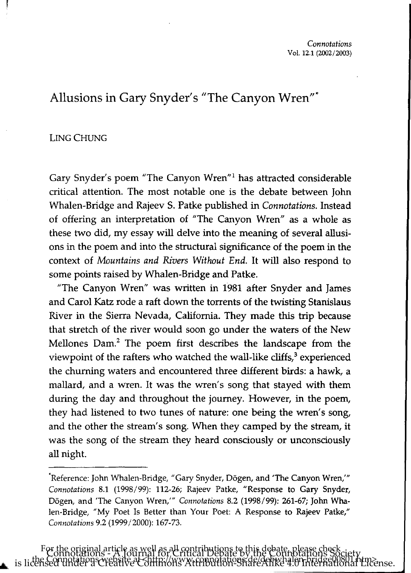# Allusions in Gary Snyder's "The Canyon Wren"-

## LING CHUNG

Gary Snyder's poem "The Canyon Wren"! has attracted considerable critical attention. The most notable one is the debate between John Whalen-Bridge and Rajeev S. Patke published in *Connotations.* Instead of offering an interpretation of "The Canyon Wren" as a whole as these two did, my essay will delve into the meaning of several allusions in the poem and into the structural significance of the poem in the context of *Mountains and Rivers Without End.* It will also respond to some points raised by Whalen-Bridge and Patke.

"The Canyon Wren" was written in 1981 after Snyder and James and Carol Katz rode a raft down the torrents of the twisting Stanislaus River in the Sierra Nevada, California. They made this trip because that stretch of the river would soon go under the waters of the New Mellones Dam.<sup>2</sup> The poem first describes the landscape from the viewpoint of the rafters who watched the wall-like cliffs,<sup>3</sup> experienced the churning waters and encountered three different birds: a hawk, a mallard, and a wren. It was the wren's song that stayed with them during the day and throughout the journey. However, in the poem, they had listened to two tunes of nature: one being the wren's song, and the other the stream's song. When they camped by the stream, it was the song of the stream they heard consciously or unconsciously all night.

<sup>&#</sup>x27;Reference: John Whalen-Bridge, "Gary Snyder, Dogen, and 'The Canyon Wren,'" *Connotations* 8.1 (1998/99): 112-26; Rajeev Patke, "Response to Gary Snyder, Dogen, and 'The Canyon Wren,'" *Connotations* 8.2 (1998/99): 261-67; John Whalen-Bridge, "My Poet Is Better than Your Poet: A Response to Rajeev Patke," *Connotations* 9.2 (1999/2000): 167-73.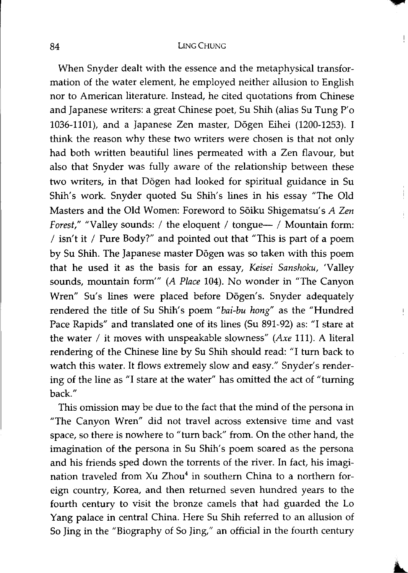When Snyder dealt with the essence and the metaphysical transformation of the water element, he employed neither allusion to English nor to American literature. Instead, he cited quotations from Chinese and Japanese writers: a great Chinese poet, Su Shih (alias Su Tung P'o 1036-1101), and a Japanese Zen master, D6gen Eihei (1200-1253). I think the reason why these two writers were chosen is that not only had both written beautiful lines permeated with a Zen flavour, but also that Snyder was fully aware of the relationship between these two writers, in that D6gen had looked for spiritual guidance in Su Shih's work. Snyder quoted Su Shih's lines in his essay "The Old Masters and the Old Women: Foreword to S6iku Shigematsu's *A Zen Forest,"* "Valley sounds: / the eloquent / tongue-- / Mountain form: *I* isn't it *I* Pure Body?" and pointed out that "This is part of a poem by Su Shih. The Japanese master D6gen was so taken with this poem that he used it as the basis for an essay, *Keisei Sanshoku,* 'Valley sounds, mountain form'" *(A Place* 104). No wonder in "The Canyon Wren" Su's lines were placed before Dōgen's. Snyder adequately rendered the title of Su Shih's poem *"bai-bu hang"* as the "Hundred Pace Rapids" and translated one of its lines (Su 891-92) as: "I stare at the water *I* it moves with unspeakable slowness" *(Axe* 111). A literal rendering of the Chinese line by Su Shih should read: "I turn back to watch this water. It flows extremely slow and easy." Snyder's rendering of the line as "I stare at the water" has omitted the act of "turning back."

This omission may be due to the fact that the mind of the persona in "The Canyon Wren" did not travel across extensive time and vast space, so there is nowhere to "turn back" from. On the other hand, the imagination of the persona in Su Shih's poem soared as the persona and his friends sped down the torrents of the river. In fact, his imagination traveled from Xu Zhou<sup>4</sup> in southern China to a northern foreign country, Korea, and then returned seven hundred years to the fourth century to visit the bronze camels that had guarded the Lo Yang palace in central China. Here Su Shih referred to an allusion of So Jing in the "Biography of So Jing," an official in the fourth century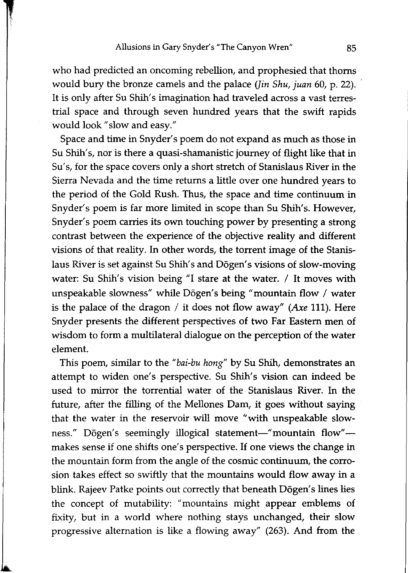who had predicted an oncoming rebellion, and prophesied that thorns would bury the bronze camels and the palace *Uin Shu, juan* 60, p. 22) .. It is only after Su Shih's imagination had traveled across a vast terrestrial space and through seven hundred years that the swift rapids would look" slow and easy."

Space and time in Snyder's poem do not expand as much as those in Su Shih's, nor is there a quasi-shamanistic journey of flight like that in Su's, for the space covers only a short stretch of Stanislaus River in the Sierra Nevada and the time returns a little over one hundred years to the period of the Gold Rush. Thus, the space and time continuum in Snyder's poem is far more limited in scope than Su Shih's. However, Snyder's poem carries its own touching power by presenting a strong contrast between the experience of the objective reality and different visions of that reality. In other words, the torrent image of the Stanislaus River is set against Su Shih's and Dōgen's visions of slow-moving water: Su Shih's vision being "I stare at the water. / It moves with unspeakable slowness" while Dōgen's being "mountain flow / water is the palace of the dragon / it does not flow away" *(Axe* 111). Here Snyder presents the different perspectives of two Far Eastern men of wisdom to form a multilateral dialogue on the perception of the water element.

This poem, similar to the *"bai-bu hang"* by Su Shih, demonstrates an attempt to widen one's perspective. Su Shih's vision can indeed be used to mirror the torrential water of the Stanislaus River. In the future, after the filling of the Mellones Dam, it goes without saying that the water in the reservoir will move "with unspeakable slowness." Dōgen's seemingly illogical statement-" mountain flow"makes sense if one shifts one's perspective. If one views the change in the mountain form from the angle of the cosmic continuum, the corrosion takes effect so swiftly that the mountains would flow away in a blink. Rajeev Patke points out correctly that beneath Dōgen's lines lies the concept of mutability: "mountains might appear emblems of fixity, but in a world where nothing stays unchanged, their slow progressive alternation is like a flowing away" (263). And from the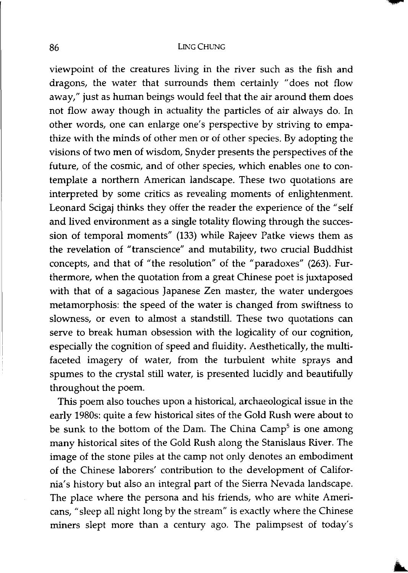viewpoint of the creatures living in the river such as the fish and dragons, the water that surrounds them certainly "does not flow away," just as human beings would feel that the air around them does not flow away though in actuality the particles of air always do. In other words, one can enlarge one's perspective by striving to empathize with the minds of other men or of other species. By adopting the visions of two men of wisdom, Snyder presents the perspectives of the future, of the cosmic, and of other species, which enables one to contemplate a northern American landscape. These two quotations are interpreted by some critics as revealing moments of enlightenment. Leonard Scigaj thinks they offer the reader the experience of the "self and lived environment as a single totality flowing through the succession of temporal moments" (133) while Rajeev Patke views them as the revelation of "transcience" and mutability, two crucial Buddhist concepts, and that of "the resolution" of the "paradoxes" (263). Furthermore, when the quotation from a great Chinese poet is juxtaposed with that of a sagacious Japanese Zen master, the water undergoes metamorphosis: the speed of the water is changed from swiftness to slowness, or even to almost a standstill. These two quotations can serve to break human obsession with the logicality of our cognition, especially the cognition of speed and fluidity. Aesthetically, the multifaceted imagery of water, from the turbulent white sprays and spumes to the crystal still water, is presented lucidly and beautifully throughout the poem.

This poem also touches upon a historical, archaeological issue in the early 1980s: quite a few historical sites of the Gold Rush were about to be sunk to the bottom of the Dam. The China Camp<sup>5</sup> is one among many historical sites of the Gold Rush along the Stanislaus River. The image of the stone piles at the camp not only denotes an embodiment of the Chinese laborers' contribution to the development of California's history but also an integral part of the Sierra Nevada landscape. The place where the persona and his friends, who are white Americans, "sleep all night long by the stream" is exactly where the Chinese miners slept more than a century ago. The palimpsest of today's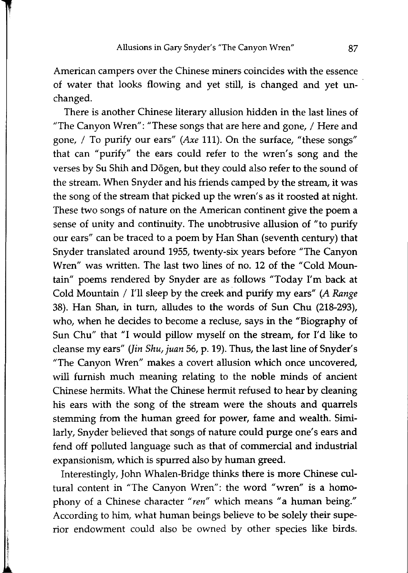American campers over the Chinese miners coincides with the essence of water that looks flowing and yet still, is changed and yet unchanged.

There is another Chinese literary allusion hidden in the last lines of "The Canyon Wren": "These songs that are here and gone, / Here and gone, / To purify our ears" *(Axe* 111). On the surface, "these songs" that can "purify" the ears could refer to the wren's song and the verses by Su Shih and D6gen, but they could also refer to the sound of the stream. When Snyder and his friends camped by the stream, it was the song of the stream that picked up the wren's as it roosted at night. These two songs of nature on the American continent give the poem a sense of unity and continuity. The unobtrusive allusion of "to purify our ears" can be traced to a poem by Han Shan (seventh century) that Snyder translated around 1955, twenty-six years before "The Canyon Wren" was written. The last two lines of no. 12 of the "Cold Mountain" poems rendered by Snyder are as follows "Today I'm back at Cold Mountain / I'll sleep by the creek and purify my ears" *(A Range*  38). Han Shan, in turn, alludes to the words of Sun Chu (218-293), who, when he decides to become a recluse, says in the "Biography of Sun Chu" that "I would pillow myself on the stream, for I'd like to cleanse my ears" *Uin Shu, juan* 56, p. 19). Thus, the last line of Snyder's "The Canyon Wren" makes a covert allusion which once uncovered, will furnish much meaning relating to the noble minds of ancient Chinese hermits. What the Chinese hermit refused to hear by cleaning his ears with the song of the stream were the shouts and quarrels stemming from the human greed for power, fame and wealth. Similarly, Snyder believed that songs of nature could purge one's ears and fend off polluted language such as that of commercial and industrial expansionism, which is spurred also by human greed.

Interestingly, John Whalen-Bridge thinks there is more Chinese cultural content in "The Canyon Wren": the word "wren" is a homophony of a Chinese character "ren" which means "a human being." According to him, what human beings believe to be solely their superior endowment could also be owned by other species like birds.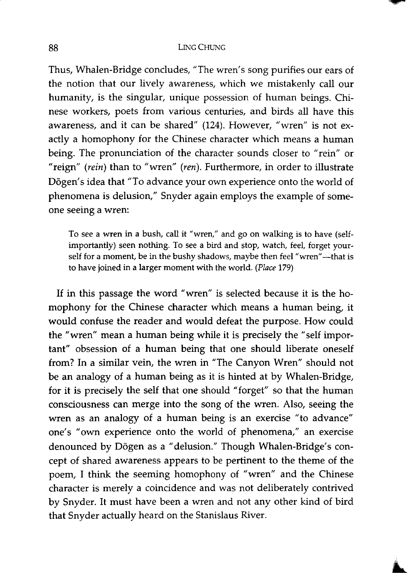Thus, Whalen-Bridge concludes, "The wren's song purifies our ears of the notion that our lively awareness, which we mistakenly call our humanity, is the singular, unique possession of human beings. Chinese workers, poets from various centuries, and birds all have this awareness, and it can be shared" (124). However, "wren" is not exactly a homophony for the Chinese character which means a human being. The pronunciation of the character sounds closer to "rein" or "reign" *(rein)* than to "wren" *(ren).* Furthermore, in order to illustrate Dōgen's idea that "To advance your own experience onto the world of phenomena is delusion," Snyder again employs the example of someone seeing a wren:

To see a wren in a bush, call it "wren," and go on walking is to have (selfimportantly) seen nothing. To see a bird and stop, watch, feel, forget yourself for a moment, be in the bushy shadows, maybe then feel "wren"—that is to have joined in a larger moment with the world. *(Place 179)* 

If in this passage the word "wren" is selected because it is the homophony for the Chinese character which means a human being, it would confuse the reader and would defeat the purpose. How could the "wren" mean a human being while it is precisely the "self important" obsession of a human being that one should liberate oneself from? In a similar vein, the wren in "The Canyon Wren" should not be an analogy of a human being as it is hinted at by Whalen-Bridge, for it is precisely the self that one should" forget" so that the human consciousness can merge into the song of the wren. Also, seeing the wren as an analogy of a human being is an exercise "to advance" one's "own experience onto the world of phenomena," an exercise denounced by Dōgen as a "delusion." Though Whalen-Bridge's concept of shared awareness appears to be pertinent to the theme of the poem, I think the seeming homophony of "wren" and the Chinese character is merely a coincidence and was not deliberately contrived by Snyder. It must have been a wren and not any other kind of bird that Snyder actually heard on the Stanislaus River.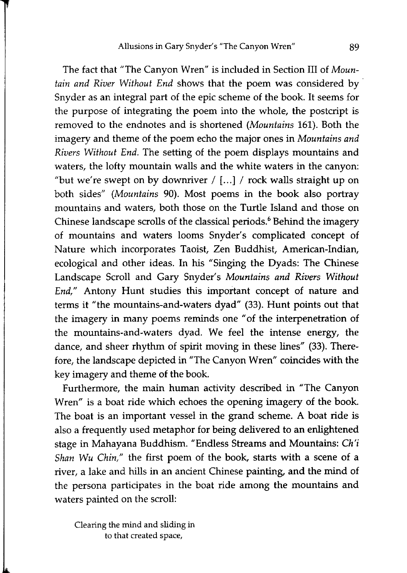The fact that "The Canyon Wren" is included in Section III of *Mountain and River Without End* shows that the poem was considered by . Snyder as an integral part of the epic scheme of the book. It seems for the purpose of integrating the poem into the whole, the postcript is removed to the endnotes and is shortened *(Mountains* 161). Both the imagery and theme of the poem echo the major ones in *Mountains and Rivers Without End.* The setting of the poem displays mountains and waters, the lofty mountain walls and the white waters in the canyon: "but we're swept on by downriver  $/$  [...]  $/$  rock walls straight up on both sides" *(Mountains* 90). Most poems in the book also portray mountains and waters, both those on the Turtle Island and those on Chinese landscape scrolls of the classical periods.<sup>6</sup> Behind the imagery of mountains and waters looms Snyder's complicated concept of Nature which incorporates Taoist, Zen Buddhist, American-Indian, ecological and other ideas. In his "Singing the Dyads: The Chinese Landscape Scroll and Gary Snyder's *Mountains and Rivers Without End,"* Antony Hunt studies this important concept of nature and terms it "the mountains-and-waters dyad" (33). Hunt points out that the imagery in many poems reminds one "of the interpenetration of the mountains-and-waters dyad. We feel the intense energy, the dance, and sheer rhythm of spirit moving in these lines" (33). Therefore, the landscape depicted in "The Canyon Wren" coincides with the key imagery and theme of the book.

Furthermore, the main human activity described in "The Canyon Wren" is a boat ride which echoes the opening imagery of the book. The boat is an important vessel in the grand scheme. A boat ride is also a frequently used metaphor for being delivered to an enlightened stage in Mahayana Buddhism. "Endless Streams and Mountains: *Ch'i Shan Wu Chin,"* the first poem of the book, starts with a scene of a river, a lake and hills in an ancient Chinese painting, and the mind of the persona participates in the boat ride among the mountains and waters painted on the scroll:

Clearing the mind and sliding in to that created space,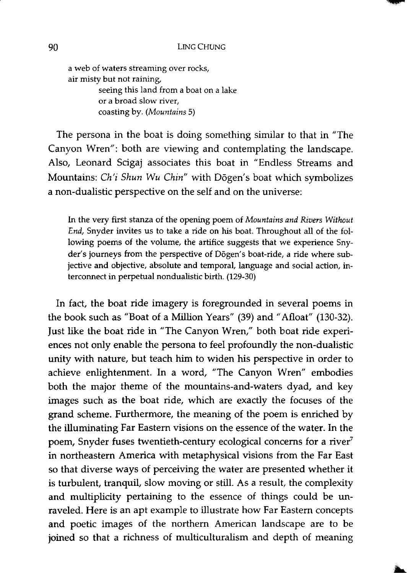a web of waters streaming over rocks, air misty but not raining. seeing this land from a boat on a lake or a broad slow river, coasting by. *(Mountains 5)* 

The persona in the boat is doing something similar to that in "The Canyon Wren": both are viewing and contemplating the landscape. Also, Leonard Scigaj associates this boat in "Endless Streams and Mountains: *Ch'i Shun Wu Chin"* with Dogen's boat which symbolizes a non-dualistic perspective on the self and on the universe:

In the very first stanza of the opening poem of *Mountains and Rivers Without End,* Snyder invites us to take a ride on his boat. Throughout all of the following poems of the volume, the artifice suggests that we experience Snyder's journeys from the perspective of Dogen's boat-ride, a ride where subjective and objective, absolute and temporal, language and social action, interconnect in perpetual nondualistic birth. (129-30)

In fact, the boat ride imagery is foregrounded in several poems in the book such as "Boat of a Million Years" (39) and" Afloat" (130-32). Just like the boat ride in "The Canyon Wren," both boat ride experiences not only enable the persona to feel profoundly the non-dualistic unity with nature, but teach him to widen his perspective in order to achieve enlightenment. In a word, "The Canyon Wren" embodies both the major theme of the mountains-and-waters dyad, and key images such as the boat ride, which are exactly the focuses of the grand scheme. Furthermore, the meaning of the poem is enriched by the illuminating Far Eastern visions on the essence of the water. In the poem, Snyder fuses twentieth-century ecological concerns for a river<sup>7</sup> in northeastern America with metaphysical visions from the Far East so that diverse ways of perceiving the water are presented whether it is turbulent, tranquil, slow moving or still. As a result, the complexity and multiplicity pertaining to the essence of things could be unraveled. Here is an apt example to illustrate how Far Eastern concepts and poetic images of the northern American landscape are to be joined so that a richness of multiculturalism and depth of meaning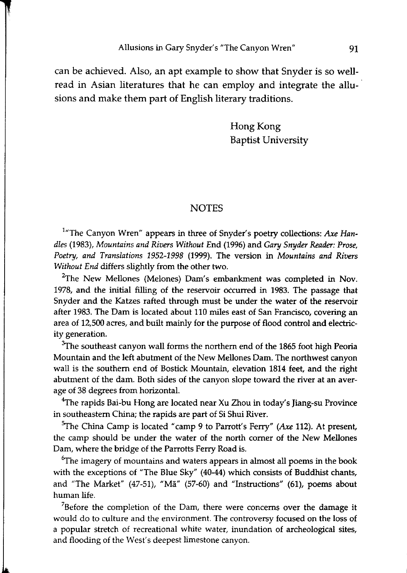can be achieved. Also, an apt example to show that Snyder is so wellread in Asian literatures that he can employ and integrate the allusions and make them part of English literary traditions.

> Hong Kong Baptist University

## **NOTES**

<sup>1</sup>"The Canyon Wren" appears in three of Snyder's poetry collections: Axe Han*dles* (1983), *Mountains and Rivers Without* End (1996) and *Gary Snyder Reader: Prose, Poetry, and Translations* 1952-1998 (1999). The version in *Mountains and Rivers Without End* differs slightly from the other two.

 $2$ The New Mellones (Melones) Dam's embankment was completed in Nov. 1978, and the initial filling of the reservoir occurred in 1983. The passage that Snyder and the Katzes rafted through must be under the water of the reservoir after 1983. The Dam is located about 110 miles east of San Francisco, covering an area of 12,500 acres, and built mainly for the purpose of flood control and electricity generation.

 $3$ The southeast canyon wall forms the northern end of the 1865 foot high Peoria Mountain and the left abutment of the New Mellones Dam. The northwest canyon wall is the southern end of Bostick Mountain, elevation 1814 feet, and the right abutment of the dam. Both sides of the canyon slope toward the river at an average of 38 degrees from horizontal.

<sup>4</sup>The rapids Bai-bu Hong are located near Xu Zhou in today's Jiang-su Province in southeastern China; the rapids are part of Si Shui River.

<sup>5</sup>The China Camp is located "camp 9 to Parrott's Ferry" (Axe 112). At present, the camp should be under the water of the north corner of the New Mellones Dam, where the bridge of the Parrotts Ferry Road is.

 $6$ The imagery of mountains and waters appears in almost all poems in the book with the exceptions of "The Blue Sky" (40-44) which consists of Buddhist chants, and "The Market" (47-51), "Ma" (57-60) and "Instructions" (61), poems about human life.

 $78$ efore the completion of the Dam, there were concerns over the damage it would do to culture and the environment. The controversy focused on the loss of a popular stretch of recreational white water, inundation of archeological sites, and flooding of the West's deepest limestone canyon.